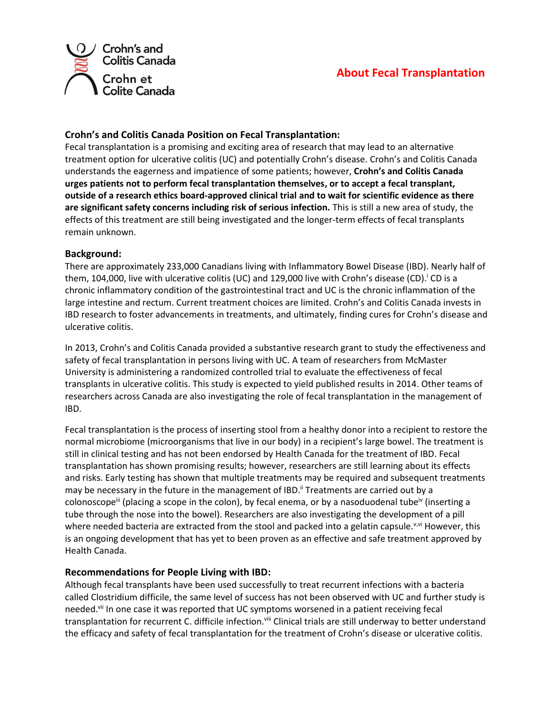

## **About Fecal Transplantation**

## **Crohn's and Colitis Canada Position on Fecal Transplantation:**

Fecal transplantation is a promising and exciting area of research that may lead to an alternative treatment option for ulcerative colitis (UC) and potentially Crohn's disease. Crohn's and Colitis Canada understands the eagerness and impatience of some patients; however, **Crohn's and Colitis Canada urges patients not to perform fecal transplantation themselves, or to accept a fecal transplant, outside of a research ethics board-approved clinical trial and to wait for scientific evidence as there are significant safety concerns including risk of serious infection.** This is still a new area of study, the effects of this treatment are still being investigated and the longer-term effects of fecal transplants remain unknown.

## **Background:**

There are approximately 233,000 Canadians living with Inflammatory Bowel Disease (IBD). Nearly half of them, 104,000, live with ulcerative colitis (UC) and 129,000 live with Crohn's disease (CD). CD is a chronic inflammatory condition of the gastrointestinal tract and UC is the chronic inflammation of the large intestine and rectum. Current treatment choices are limited. Crohn's and Colitis Canada invests in IBD research to foster advancements in treatments, and ultimately, finding cures for Crohn's disease and ulcerative colitis.

In 2013, Crohn's and Colitis Canada provided a substantive research grant to study the effectiveness and safety of fecal transplantation in persons living with UC. A team of researchers from McMaster University is administering a randomized controlled trial to evaluate the effectiveness of fecal transplants in ulcerative colitis. This study is expected to yield published results in 2014. Other teams of researchers across Canada are also investigating the role of fecal transplantation in the management of IBD.

Fecal transplantation is the process of inserting stool from a healthy donor into a recipient to restore the normal microbiome (microorganisms that live in our body) in a recipient's large bowel. The treatment is still in clinical testing and has not been endorsed by Health Canada for the treatment of IBD. Fecal transplantation has shown promising results; however, researchers are still learning about its effects and risks. Early testing has shown that multiple treatments may be required and subsequent treatments may be necessary in the future in the management of IBD.<sup>ii</sup> Treatments are carried out by a colonoscope<sup>ii</sup> (placing a scope in the colon), by fecal enema, or by a nasoduodenal tube<sup>iv</sup> (inserting a tube through the nose into the bowel). Researchers are also investigating the development of a pill where needed bacteria are extracted from the stool and packed into a gelatin capsule.<sup>v,vi</sup> However, this is an ongoing development that has yet to been proven as an effective and safe treatment approved by Health Canada.

## **Recommendations for People Living with IBD:**

Although fecal transplants have been used successfully to treat recurrent infections with a bacteria called Clostridium difficile, the same level of success has not been observed with UC and further study is needed.<sup>vii</sup> In one case it was reported that UC symptoms worsened in a patient receiving fecal transplantation for recurrent C. difficile infection.<sup>viii</sup> Clinical trials are still underway to better understand the efficacy and safety of fecal transplantation for the treatment of Crohn's disease or ulcerative colitis.